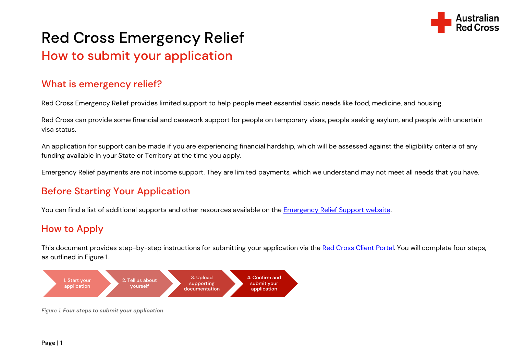

# Red Cross Emergency Relief How to submit your application

## What is emergency relief?

Red Cross Emergency Relief provides limited support to help people meet essential basic needs like food, medicine, and housing.

Red Cross can provide some financial and casework support for people on temporary visas, people seeking asylum, and people with uncertain visa status.

An application for support can be made if you are experiencing financial hardship, which will be assessed against the eligibility criteria of any funding available in your State or Territory at the time you apply.

Emergency Relief payments are not income support. They are limited payments, which we understand may not meet all needs that you have.

# Before Starting Your Application

You can find a list of additional supports and other resources available on the **Emergency Relief Support website**.

# How to Apply

This document provides step-by-step instructions for submitting your application via the [Red Cross Client Portal.](https://connect.redcross.org.au/en-US/SignIn?returnUrl=/application-submit?code=8181) You will complete four steps, as outlined in Figure 1.



Figure 1. Four steps to submit your application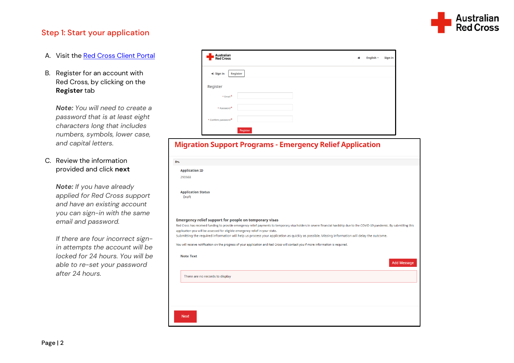

#### Step 1: Start your application

- A. Visit the [Red Cross Client Portal](https://connect.redcross.org.au/en-US/SignIn?returnUrl=/application-submit?code=8181)
- B. Register for an account with Red Cross, by clicking on the **Register** tab

*Note: You will need to create a password that is at least eight characters long that includes numbers, symbols, lower case, and capital letters.*

C. Review the information provided and click **next**

> *Note: If you have already applied for Red Cross support and have an existing account you can sign-in with the same email and password.*

*If there are four incorrect signin attempts the account will be locked for 24 hours. You will be able to re-set your password after 24 hours.*

| Australian<br>Red Cross        | English +<br>番 | Sign in |
|--------------------------------|----------------|---------|
| $\bigstar$ Sign in<br>Register |                |         |
| Register                       |                |         |
| $*$ Email <sup>*</sup>         |                |         |
| * Password*                    |                |         |
| * Confirm password*            |                |         |
| Register                       |                |         |

#### **Migration Support Programs - Emergency Relief Application**

| 0%                                                                                                                                                                                                                             |
|--------------------------------------------------------------------------------------------------------------------------------------------------------------------------------------------------------------------------------|
|                                                                                                                                                                                                                                |
| <b>Application ID</b>                                                                                                                                                                                                          |
| 290568                                                                                                                                                                                                                         |
|                                                                                                                                                                                                                                |
| <b>Application Status</b>                                                                                                                                                                                                      |
| Draft                                                                                                                                                                                                                          |
|                                                                                                                                                                                                                                |
|                                                                                                                                                                                                                                |
| <b>Emergency relief support for people on temporary visas</b>                                                                                                                                                                  |
| Red Cross has received funding to provide emergency relief payments to temporary visa holders in severe financial hardship due to the COVID-19 pandemic. By submitting this                                                    |
| application you will be assessed for eligible emergency relief in your state.<br>Submitting the required information will help us process your application as quickly as possible. Missing information will delay the outcome. |
| You will receive notification on the progress of your application and Red Cross will contact you if more information is required.                                                                                              |
|                                                                                                                                                                                                                                |
| <b>Note Text</b>                                                                                                                                                                                                               |
| <b>Add Message</b>                                                                                                                                                                                                             |
| There are no records to display                                                                                                                                                                                                |
|                                                                                                                                                                                                                                |
|                                                                                                                                                                                                                                |
|                                                                                                                                                                                                                                |
|                                                                                                                                                                                                                                |
| <b>Next</b>                                                                                                                                                                                                                    |
|                                                                                                                                                                                                                                |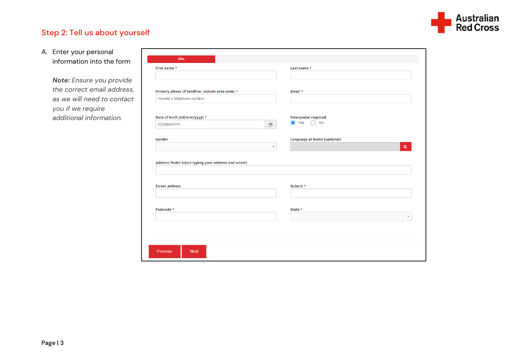

### Step 2: Tell us about yourself

#### A. Enter your personal information into the form

*Note: Ensure you provide the correct email address, as we will need to contact you if we require additional information.*

| First name *                                                                   | Last name *                        |
|--------------------------------------------------------------------------------|------------------------------------|
|                                                                                |                                    |
| Primary phone (if landline, include area code) *                               | Email *                            |
| Provide a telephone number                                                     |                                    |
| Date of birth (dd/mm/yyyy) *                                                   | <b>Interpreter required</b>        |
| DD/MM/YYYY                                                                     | $\odot$ Yes<br><b>No</b><br>雦      |
| Gender                                                                         | <b>Language at home (optional)</b> |
|                                                                                | $\alpha$<br>$\pmb{\cdot}$          |
|                                                                                |                                    |
| Address finder (start typing your address and select)<br><b>Street address</b> | Suburb *                           |
|                                                                                |                                    |
| Postcode *                                                                     | State *                            |
|                                                                                | ٠                                  |
|                                                                                |                                    |
|                                                                                |                                    |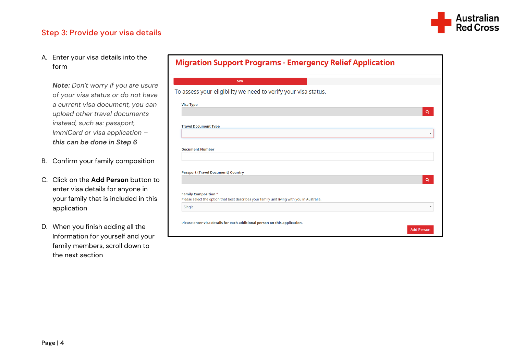

#### Step 3: Provide your visa details

A. Enter your visa details into the form

*Note: Don't worry if you are usure of your visa status or do not have a current visa document, you can upload other travel documents instead, such as: passport, ImmiCard or visa application – this can be done in Step 6*

- B. Confirm your family composition
- C. Click on the **Add Person** button to enter visa details for anyone in your family that is included in this application
- D. When you finish adding all the Information for yourself and your family members, scroll down to the next section

|  | <b>Migration Support Programs - Emergency Relief Application</b> |  |
|--|------------------------------------------------------------------|--|
|  |                                                                  |  |

| 50%                                                                                         |                   |
|---------------------------------------------------------------------------------------------|-------------------|
| To assess your eligibility we need to verify your visa status.                              |                   |
|                                                                                             |                   |
| <b>Visa Type</b>                                                                            | $\alpha$          |
|                                                                                             |                   |
| <b>Travel Document Type</b>                                                                 |                   |
|                                                                                             | ۰.                |
| <b>Document Number</b>                                                                      |                   |
|                                                                                             |                   |
|                                                                                             |                   |
| <b>Passport (Travel Document) Country</b>                                                   |                   |
|                                                                                             | $\alpha$          |
| <b>Family Composition *</b>                                                                 |                   |
| Please select the option that best describes your family unit living with you in Australia. |                   |
| Single                                                                                      | ٠                 |
|                                                                                             |                   |
| Please enter visa details for each additional person on this application.                   |                   |
|                                                                                             | <b>Add Person</b> |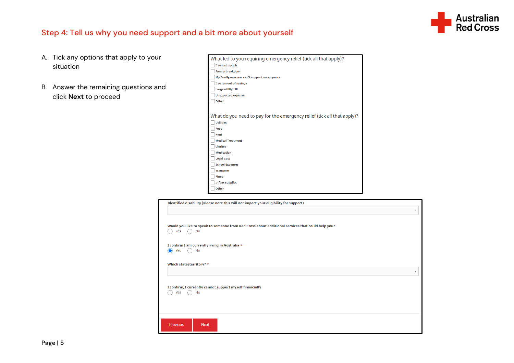

#### Step 4: Tell us why you need support and a bit more about yourself

- A. Tick any options that apply to your situation
- B. Answer the remaining questions and click **Next** to proceed

| What led to you requiring emergency relief (tick all that apply)?       |
|-------------------------------------------------------------------------|
| I've lost my job                                                        |
| <b>Family breakdown</b>                                                 |
| My family overseas can't support me anymore                             |
| I've run out of savings                                                 |
| <b>Large utility bill</b>                                               |
| <b>Unexpected expense</b>                                               |
| Other                                                                   |
|                                                                         |
| What do you need to pay for the emergency relief (tick all that apply)? |
| <b>Utilities</b>                                                        |
| Food                                                                    |
| Rent                                                                    |
| <b>Medical Treatment</b>                                                |
| <b>Clothes</b>                                                          |
| <b>Medication</b>                                                       |
| <b>Legal Cost</b>                                                       |
| <b>School Expenses</b>                                                  |
| <b>Transport</b>                                                        |
| <b>Fines</b>                                                            |
| <b>Infant Supplies</b>                                                  |
| Other                                                                   |

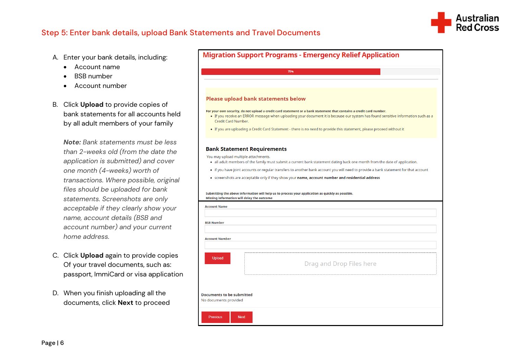

#### Step 5: Enter bank details, upload Bank Statements and Travel Documents

- A. Enter your bank details, including:
	- Account name
	- BSB number
	- Account number
- B. Click **Upload** to provide copies of bank statements for all accounts held by all adult members of your family

*Note: Bank statements must be less than 2-weeks old (from the date the application is submitted) and cover one month (4-weeks) worth of transactions. Where possible, original files should be uploaded for bank statements. Screenshots are only acceptable if they clearly show your name, account details (BSB and account number) and your current home address.*

- C. Click **Upload** again to provide copies Of your travel documents, such as: passport, ImmiCard or visa application
- D. When you finish uploading all the documents, click **Next** to proceed

|                                                                             | 75%                                                                                                                                                                                                                                                       |
|-----------------------------------------------------------------------------|-----------------------------------------------------------------------------------------------------------------------------------------------------------------------------------------------------------------------------------------------------------|
|                                                                             | <b>Please upload bank statements below</b>                                                                                                                                                                                                                |
| Credit Card Number.                                                         | For your own security, do not upload a credit card statement or a bank statement that contains a credit card number.<br>• If you receive an ERROR message when uploading your document it is because our system has found sensitive information such as a |
|                                                                             | • If you are uploading a Credit Card Statement - there is no need to provide this statement, please proceed without it                                                                                                                                    |
|                                                                             | <b>Bank Statement Requirements</b>                                                                                                                                                                                                                        |
| You may upload multiple attachments.                                        | • all adult members of the family must submit a current bank statement dating back one month from the date of application.                                                                                                                                |
|                                                                             |                                                                                                                                                                                                                                                           |
|                                                                             | • if you have joint accounts or regular transfers to another bank account you will need to provide a bank statement for that account                                                                                                                      |
|                                                                             | • screenshots are acceptable only if they show your name, account number and residential address<br>Submitting the above information will help us to process your application as quickly as possible.                                                     |
|                                                                             | Missing information will delay the outcome                                                                                                                                                                                                                |
|                                                                             |                                                                                                                                                                                                                                                           |
|                                                                             |                                                                                                                                                                                                                                                           |
| <b>Account Name</b><br><b>BSB Number</b><br><b>Account Number</b><br>Upload | Drag and Drop Files here                                                                                                                                                                                                                                  |
|                                                                             |                                                                                                                                                                                                                                                           |